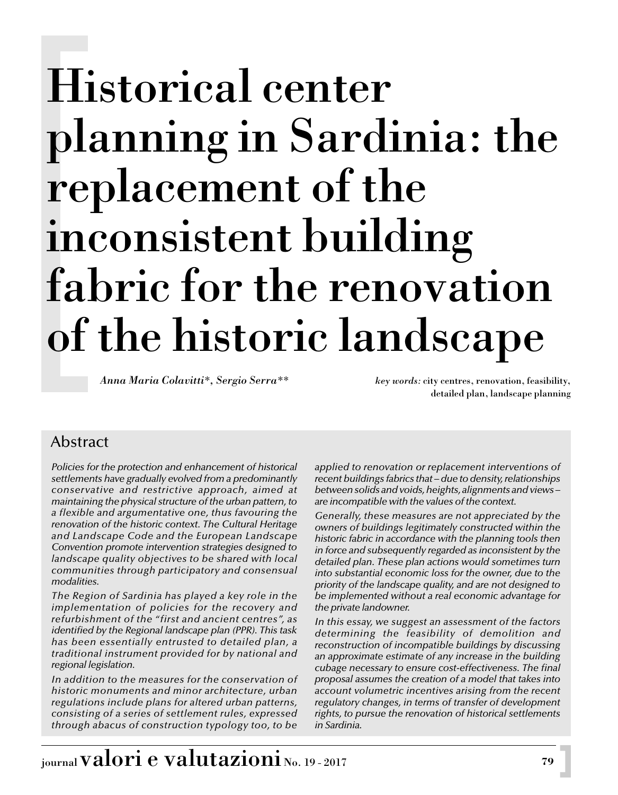*Anna Maria Colavitti\*, Sergio Serra\*\* key words:* city centres, renovation, feasibility,

detailed plan, landscape planning

## Abstract

*Policies for the protection and enhancement of historical settlements have gradually evolved from a predominantly conservative and restrictive approach, aimed at maintaining the physical structure of the urban pattern, to a flexible and argumentative one, thus favouring the renovation of the historic context. The Cultural Heritage and Landscape Code and the European Landscape Convention promote intervention strategies designed to landscape quality objectives to be shared with local communities through participatory and consensual modalities.*

*The Region of Sardinia has played a key role in the implementation of policies for the recovery and refurbishment of the "first and ancient centres", as identified by the Regional landscape plan (PPR). This task has been essentially entrusted to detailed plan, a traditional instrument provided for by national and regional legislation.* 

*In addition to the measures for the conservation of historic monuments and minor architecture, urban regulations include plans for altered urban patterns, consisting of a series of settlement rules, expressed through abacus of construction typology too, to be* *applied to renovation or replacement interventions of recent buildings fabrics that – due to density, relationships between solids and voids, heights, alignments and views – are incompatible with the values of the context.*

*Generally, these measures are not appreciated by the owners of buildings legitimately constructed within the historic fabric in accordance with the planning tools then in force and subsequently regarded as inconsistent by the detailed plan. These plan actions would sometimes turn into substantial economic loss for the owner, due to the priority of the landscape quality, and are not designed to be implemented without a real economic advantage for the private landowner.*

*In this essay, we suggest an assessment of the factors determining the feasibility of demolition and reconstruction of incompatible buildings by discussing an approximate estimate of any increase in the building cubage necessary to ensure cost-effectiveness. The final proposal assumes the creation of a model that takes into account volumetric incentives arising from the recent regulatory changes, in terms of transfer of development rights, to pursue the renovation of historical settlements in Sardinia.*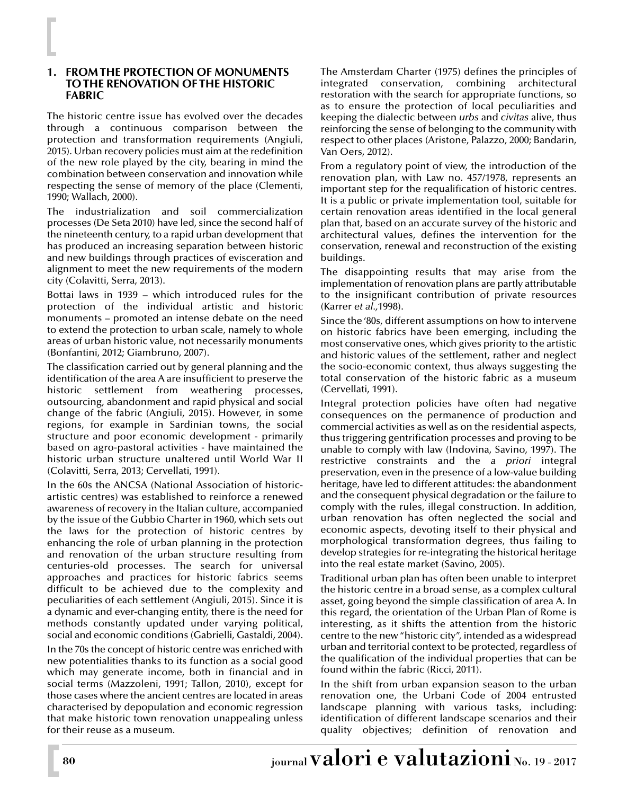#### **1. FROM THE PROTECTION OF MONUMENTS TO THE RENOVATION OF THE HISTORIC FABRIC**

The historic centre issue has evolved over the decades through a continuous comparison between the protection and transformation requirements (Angiuli, 2015). Urban recovery policies must aim at the redefinition of the new role played by the city, bearing in mind the combination between conservation and innovation while respecting the sense of memory of the place (Clementi, 1990; Wallach, 2000).

The industrialization and soil commercialization processes (De Seta 2010) have led, since the second half of the nineteenth century, to a rapid urban development that has produced an increasing separation between historic and new buildings through practices of evisceration and alignment to meet the new requirements of the modern city (Colavitti, Serra, 2013).

Bottai laws in 1939 – which introduced rules for the protection of the individual artistic and historic monuments – promoted an intense debate on the need to extend the protection to urban scale, namely to whole areas of urban historic value, not necessarily monuments (Bonfantini, 2012; Giambruno, 2007).

The classification carried out by general planning and the identification of the area A are insufficient to preserve the historic settlement from weathering processes, outsourcing, abandonment and rapid physical and social change of the fabric (Angiuli, 2015). However, in some regions, for example in Sardinian towns, the social structure and poor economic development - primarily based on agro-pastoral activities - have maintained the historic urban structure unaltered until World War II (Colavitti, Serra, 2013; Cervellati, 1991).

In the 60s the ANCSA (National Association of historicartistic centres) was established to reinforce a renewed awareness of recovery in the Italian culture, accompanied by the issue of the Gubbio Charter in 1960, which sets out the laws for the protection of historic centres by enhancing the role of urban planning in the protection and renovation of the urban structure resulting from centuries-old processes. The search for universal approaches and practices for historic fabrics seems difficult to be achieved due to the complexity and peculiarities of each settlement (Angiuli, 2015). Since it is a dynamic and ever-changing entity, there is the need for methods constantly updated under varying political, social and economic conditions (Gabrielli, Gastaldi, 2004).

In the 70s the concept of historic centre was enriched with new potentialities thanks to its function as a social good which may generate income, both in financial and in social terms (Mazzoleni, 1991; Tallon, 2010), except for those cases where the ancient centres are located in areas characterised by depopulation and economic regression that make historic town renovation unappealing unless for their reuse as a museum.

The Amsterdam Charter (1975) defines the principles of integrated conservation, combining architectural restoration with the search for appropriate functions, so as to ensure the protection of local peculiarities and keeping the dialectic between *urbs* and *civitas* alive, thus reinforcing the sense of belonging to the community with respect to other places (Aristone, Palazzo, 2000; Bandarin, Van Oers, 2012).

From a regulatory point of view, the introduction of the renovation plan, with Law no. 457/1978, represents an important step for the requalification of historic centres. It is a public or private implementation tool, suitable for certain renovation areas identified in the local general plan that, based on an accurate survey of the historic and architectural values, defines the intervention for the conservation, renewal and reconstruction of the existing buildings.

The disappointing results that may arise from the implementation of renovation plans are partly attributable to the insignificant contribution of private resources (Karrer *et al.,*1998).

Since the '80s, different assumptions on how to intervene on historic fabrics have been emerging, including the most conservative ones, which gives priority to the artistic and historic values of the settlement, rather and neglect the socio-economic context, thus always suggesting the total conservation of the historic fabric as a museum (Cervellati, 1991).

Integral protection policies have often had negative consequences on the permanence of production and commercial activities as well as on the residential aspects, thus triggering gentrification processes and proving to be unable to comply with law (Indovina, Savino, 1997). The restrictive constraints and the *a priori* integral preservation, even in the presence of a low-value building heritage, have led to different attitudes: the abandonment and the consequent physical degradation or the failure to comply with the rules, illegal construction. In addition, urban renovation has often neglected the social and economic aspects, devoting itself to their physical and morphological transformation degrees, thus failing to develop strategies for re-integrating the historical heritage into the real estate market (Savino, 2005).

Traditional urban plan has often been unable to interpret the historic centre in a broad sense, as a complex cultural asset, going beyond the simple classification of area A. In this regard, the orientation of the Urban Plan of Rome is interesting, as it shifts the attention from the historic centre to the new "historic city", intended as a widespread urban and territorial context to be protected, regardless of the qualification of the individual properties that can be found within the fabric (Ricci, 2011).

In the shift from urban expansion season to the urban renovation one, the Urbani Code of 2004 entrusted landscape planning with various tasks, including: identification of different landscape scenarios and their quality objectives; definition of renovation and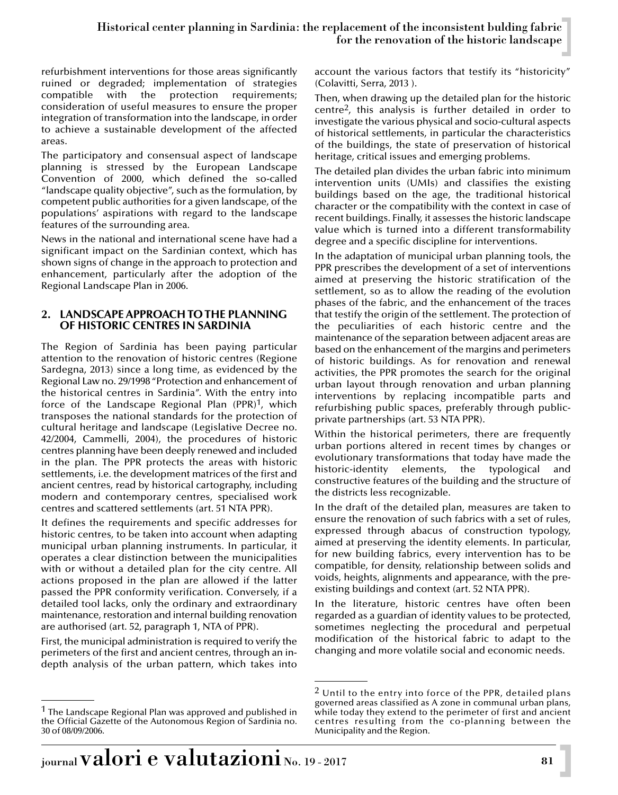refurbishment interventions for those areas significantly ruined or degraded; implementation of strategies compatible with the protection requirements; consideration of useful measures to ensure the proper integration of transformation into the landscape, in order to achieve a sustainable development of the affected areas.

The participatory and consensual aspect of landscape planning is stressed by the European Landscape Convention of 2000, which defined the so-called "landscape quality objective", such as the formulation, by competent public authorities for a given landscape, of the populations' aspirations with regard to the landscape features of the surrounding area.

News in the national and international scene have had a significant impact on the Sardinian context, which has shown signs of change in the approach to protection and enhancement, particularly after the adoption of the Regional Landscape Plan in 2006.

#### **2. LANDSCAPE APPROACH TO THE PLANNING OF HISTORIC CENTRES IN SARDINIA**

The Region of Sardinia has been paying particular attention to the renovation of historic centres (Regione Sardegna, 2013) since a long time, as evidenced by the Regional Law no. 29/1998 "Protection and enhancement of the historical centres in Sardinia". With the entry into force of the Landscape Regional Plan  $(PPR)^1$ , which transposes the national standards for the protection of cultural heritage and landscape (Legislative Decree no. 42/2004, Cammelli, 2004), the procedures of historic centres planning have been deeply renewed and included in the plan. The PPR protects the areas with historic settlements, i.e. the development matrices of the first and ancient centres, read by historical cartography, including modern and contemporary centres, specialised work centres and scattered settlements (art. 51 NTA PPR).

It defines the requirements and specific addresses for historic centres, to be taken into account when adapting municipal urban planning instruments. In particular, it operates a clear distinction between the municipalities with or without a detailed plan for the city centre. All actions proposed in the plan are allowed if the latter passed the PPR conformity verification. Conversely, if a detailed tool lacks, only the ordinary and extraordinary maintenance, restoration and internal building renovation are authorised (art. 52, paragraph 1, NTA of PPR).

First, the municipal administration is required to verify the perimeters of the first and ancient centres, through an indepth analysis of the urban pattern, which takes into

account the various factors that testify its "historicity" (Colavitti, Serra, 2013 ).

Then, when drawing up the detailed plan for the historic centre2, this analysis is further detailed in order to investigate the various physical and socio-cultural aspects of historical settlements, in particular the characteristics of the buildings, the state of preservation of historical heritage, critical issues and emerging problems.

The detailed plan divides the urban fabric into minimum intervention units (UMIs) and classifies the existing buildings based on the age, the traditional historical character or the compatibility with the context in case of recent buildings. Finally, it assesses the historic landscape value which is turned into a different transformability degree and a specific discipline for interventions.

In the adaptation of municipal urban planning tools, the PPR prescribes the development of a set of interventions aimed at preserving the historic stratification of the settlement, so as to allow the reading of the evolution phases of the fabric, and the enhancement of the traces that testify the origin of the settlement. The protection of the peculiarities of each historic centre and the maintenance of the separation between adjacent areas are based on the enhancement of the margins and perimeters of historic buildings. As for renovation and renewal activities, the PPR promotes the search for the original urban layout through renovation and urban planning interventions by replacing incompatible parts and refurbishing public spaces, preferably through publicprivate partnerships (art. 53 NTA PPR).

Within the historical perimeters, there are frequently urban portions altered in recent times by changes or evolutionary transformations that today have made the historic-identity elements, the typological and constructive features of the building and the structure of the districts less recognizable.

In the draft of the detailed plan, measures are taken to ensure the renovation of such fabrics with a set of rules, expressed through abacus of construction typology, aimed at preserving the identity elements. In particular, for new building fabrics, every intervention has to be compatible, for density, relationship between solids and voids, heights, alignments and appearance, with the preexisting buildings and context (art. 52 NTA PPR).

In the literature, historic centres have often been regarded as a guardian of identity values to be protected, sometimes neglecting the procedural and perpetual modification of the historical fabric to adapt to the changing and more volatile social and economic needs.

<sup>&</sup>lt;sup>1</sup> The Landscape Regional Plan was approved and published in the Official Gazette of the Autonomous Region of Sardinia no. 30 of 08/09/2006.

 $2$  Until to the entry into force of the PPR, detailed plans governed areas classified as A zone in communal urban plans, while today they extend to the perimeter of first and ancient centres resulting from the co-planning between the Municipality and the Region.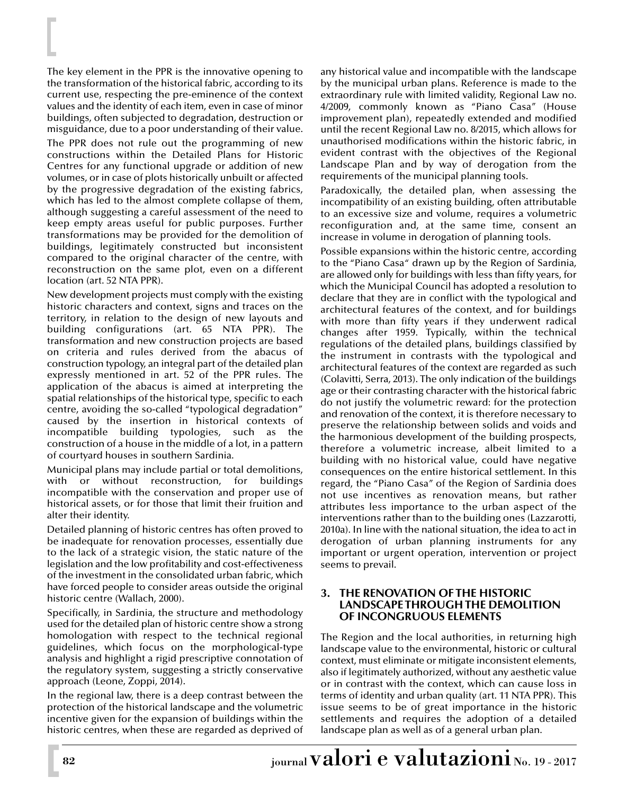The key element in the PPR is the innovative opening to the transformation of the historical fabric, according to its current use, respecting the pre-eminence of the context values and the identity of each item, even in case of minor buildings, often subjected to degradation, destruction or misguidance, due to a poor understanding of their value.

The PPR does not rule out the programming of new constructions within the Detailed Plans for Historic Centres for any functional upgrade or addition of new volumes, or in case of plots historically unbuilt or affected by the progressive degradation of the existing fabrics, which has led to the almost complete collapse of them, although suggesting a careful assessment of the need to keep empty areas useful for public purposes. Further transformations may be provided for the demolition of buildings, legitimately constructed but inconsistent compared to the original character of the centre, with reconstruction on the same plot, even on a different location (art. 52 NTA PPR).

New development projects must comply with the existing historic characters and context, signs and traces on the territory, in relation to the design of new layouts and building configurations (art. 65 NTA PPR). The transformation and new construction projects are based on criteria and rules derived from the abacus of construction typology, an integral part of the detailed plan expressly mentioned in art. 52 of the PPR rules. The application of the abacus is aimed at interpreting the spatial relationships of the historical type, specific to each centre, avoiding the so-called "typological degradation" caused by the insertion in historical contexts of incompatible building typologies, such as the construction of a house in the middle of a lot, in a pattern of courtyard houses in southern Sardinia.

Municipal plans may include partial or total demolitions, with or without reconstruction, for buildings incompatible with the conservation and proper use of historical assets, or for those that limit their fruition and alter their identity.

Detailed planning of historic centres has often proved to be inadequate for renovation processes, essentially due to the lack of a strategic vision, the static nature of the legislation and the low profitability and cost-effectiveness of the investment in the consolidated urban fabric, which have forced people to consider areas outside the original historic centre (Wallach, 2000).

Specifically, in Sardinia, the structure and methodology used for the detailed plan of historic centre show a strong homologation with respect to the technical regional guidelines, which focus on the morphological-type analysis and highlight a rigid prescriptive connotation of the regulatory system, suggesting a strictly conservative approach (Leone, Zoppi, 2014).

In the regional law, there is a deep contrast between the protection of the historical landscape and the volumetric incentive given for the expansion of buildings within the historic centres, when these are regarded as deprived of any historical value and incompatible with the landscape by the municipal urban plans. Reference is made to the extraordinary rule with limited validity, Regional Law no. 4/2009, commonly known as "Piano Casa" (House improvement plan), repeatedly extended and modified until the recent Regional Law no. 8/2015, which allows for unauthorised modifications within the historic fabric, in evident contrast with the objectives of the Regional Landscape Plan and by way of derogation from the requirements of the municipal planning tools.

Paradoxically, the detailed plan, when assessing the incompatibility of an existing building, often attributable to an excessive size and volume, requires a volumetric reconfiguration and, at the same time, consent an increase in volume in derogation of planning tools.

Possible expansions within the historic centre, according to the "Piano Casa" drawn up by the Region of Sardinia, are allowed only for buildings with less than fifty years, for which the Municipal Council has adopted a resolution to declare that they are in conflict with the typological and architectural features of the context, and for buildings with more than fifty years if they underwent radical changes after 1959. Typically, within the technical regulations of the detailed plans, buildings classified by the instrument in contrasts with the typological and architectural features of the context are regarded as such (Colavitti, Serra, 2013). The only indication of the buildings age or their contrasting character with the historical fabric do not justify the volumetric reward: for the protection and renovation of the context, it is therefore necessary to preserve the relationship between solids and voids and the harmonious development of the building prospects, therefore a volumetric increase, albeit limited to a building with no historical value, could have negative consequences on the entire historical settlement. In this regard, the "Piano Casa" of the Region of Sardinia does not use incentives as renovation means, but rather attributes less importance to the urban aspect of the interventions rather than to the building ones (Lazzarotti, 2010a). In line with the national situation, the idea to act in derogation of urban planning instruments for any important or urgent operation, intervention or project seems to prevail.

#### **3. THE RENOVATION OF THE HISTORIC LANDSCAPE THROUGH THE DEMOLITION OF INCONGRUOUS ELEMENTS**

The Region and the local authorities, in returning high landscape value to the environmental, historic or cultural context, must eliminate or mitigate inconsistent elements, also if legitimately authorized, without any aesthetic value or in contrast with the context, which can cause loss in terms of identity and urban quality (art. 11 NTA PPR). This issue seems to be of great importance in the historic settlements and requires the adoption of a detailed landscape plan as well as of a general urban plan.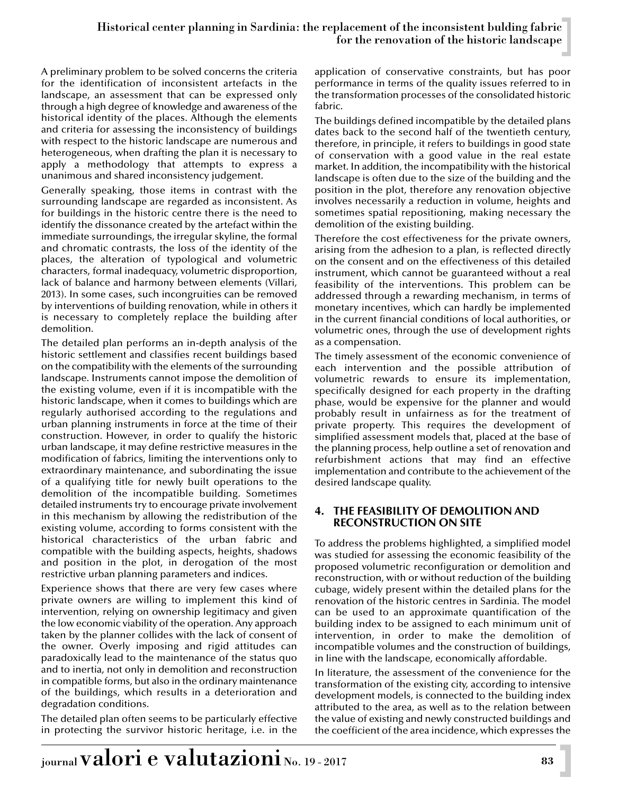A preliminary problem to be solved concerns the criteria for the identification of inconsistent artefacts in the landscape, an assessment that can be expressed only through a high degree of knowledge and awareness of the historical identity of the places. Although the elements and criteria for assessing the inconsistency of buildings with respect to the historic landscape are numerous and heterogeneous, when drafting the plan it is necessary to apply a methodology that attempts to express a unanimous and shared inconsistency judgement.

Generally speaking, those items in contrast with the surrounding landscape are regarded as inconsistent. As for buildings in the historic centre there is the need to identify the dissonance created by the artefact within the immediate surroundings, the irregular skyline, the formal and chromatic contrasts, the loss of the identity of the places, the alteration of typological and volumetric characters, formal inadequacy, volumetric disproportion, lack of balance and harmony between elements (Villari, 2013). In some cases, such incongruities can be removed by interventions of building renovation, while in others it is necessary to completely replace the building after demolition.

The detailed plan performs an in-depth analysis of the historic settlement and classifies recent buildings based on the compatibility with the elements of the surrounding landscape. Instruments cannot impose the demolition of the existing volume, even if it is incompatible with the historic landscape, when it comes to buildings which are regularly authorised according to the regulations and urban planning instruments in force at the time of their construction. However, in order to qualify the historic urban landscape, it may define restrictive measures in the modification of fabrics, limiting the interventions only to extraordinary maintenance, and subordinating the issue of a qualifying title for newly built operations to the demolition of the incompatible building. Sometimes detailed instruments try to encourage private involvement in this mechanism by allowing the redistribution of the existing volume, according to forms consistent with the historical characteristics of the urban fabric and compatible with the building aspects, heights, shadows and position in the plot, in derogation of the most restrictive urban planning parameters and indices.

Experience shows that there are very few cases where private owners are willing to implement this kind of intervention, relying on ownership legitimacy and given the low economic viability of the operation. Any approach taken by the planner collides with the lack of consent of the owner. Overly imposing and rigid attitudes can paradoxically lead to the maintenance of the status quo and to inertia, not only in demolition and reconstruction in compatible forms, but also in the ordinary maintenance of the buildings, which results in a deterioration and degradation conditions.

The detailed plan often seems to be particularly effective in protecting the survivor historic heritage, i.e. in the application of conservative constraints, but has poor performance in terms of the quality issues referred to in the transformation processes of the consolidated historic fabric.

The buildings defined incompatible by the detailed plans dates back to the second half of the twentieth century, therefore, in principle, it refers to buildings in good state of conservation with a good value in the real estate market. In addition, the incompatibility with the historical landscape is often due to the size of the building and the position in the plot, therefore any renovation objective involves necessarily a reduction in volume, heights and sometimes spatial repositioning, making necessary the demolition of the existing building.

Therefore the cost effectiveness for the private owners, arising from the adhesion to a plan, is reflected directly on the consent and on the effectiveness of this detailed instrument, which cannot be guaranteed without a real feasibility of the interventions. This problem can be addressed through a rewarding mechanism, in terms of monetary incentives, which can hardly be implemented in the current financial conditions of local authorities, or volumetric ones, through the use of development rights as a compensation.

The timely assessment of the economic convenience of each intervention and the possible attribution of volumetric rewards to ensure its implementation, specifically designed for each property in the drafting phase, would be expensive for the planner and would probably result in unfairness as for the treatment of private property. This requires the development of simplified assessment models that, placed at the base of the planning process, help outline a set of renovation and refurbishment actions that may find an effective implementation and contribute to the achievement of the desired landscape quality.

### **4. THE FEASIBILITY OF DEMOLITION AND RECONSTRUCTION ON SITE**

To address the problems highlighted, a simplified model was studied for assessing the economic feasibility of the proposed volumetric reconfiguration or demolition and reconstruction, with or without reduction of the building cubage, widely present within the detailed plans for the renovation of the historic centres in Sardinia. The model can be used to an approximate quantification of the building index to be assigned to each minimum unit of intervention, in order to make the demolition of incompatible volumes and the construction of buildings, in line with the landscape, economically affordable.

In literature, the assessment of the convenience for the transformation of the existing city, according to intensive development models, is connected to the building index attributed to the area, as well as to the relation between the value of existing and newly constructed buildings and the coefficient of the area incidence, which expresses the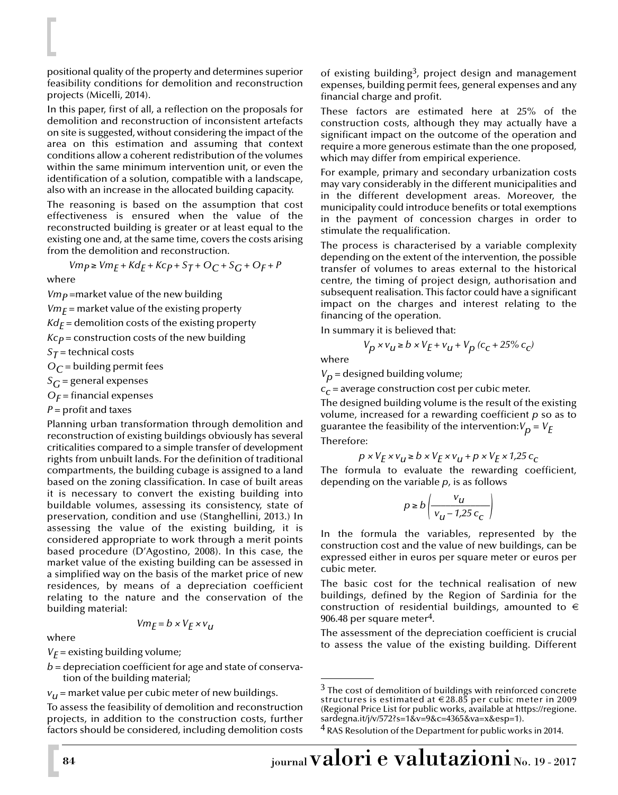positional quality of the property and determines superior feasibility conditions for demolition and reconstruction projects (Micelli, 2014).

In this paper, first of all, a reflection on the proposals for demolition and reconstruction of inconsistent artefacts on site is suggested, without considering the impact of the area on this estimation and assuming that context conditions allow a coherent redistribution of the volumes within the same minimum intervention unit, or even the identification of a solution, compatible with a landscape, also with an increase in the allocated building capacity.

The reasoning is based on the assumption that cost effectiveness is ensured when the value of the reconstructed building is greater or at least equal to the existing one and, at the same time, covers the costs arising from the demolition and reconstruction.

$$
Vmp \geq Vmp + Kd_E + Kcp + S_T + O_C + S_G + O_F + P
$$

where

 $Vm<sub>P</sub>$  =market value of the new building  $Vm_F$  = market value of the existing property  $Kd_F$  = demolition costs of the existing property  $Kc_p$  = construction costs of the new building  $S_T$  = technical costs  $O<sub>C</sub>$  = building permit fees  $S_G$  = general expenses  $O_F$  = financial expenses

#### $P =$  profit and taxes

Planning urban transformation through demolition and reconstruction of existing buildings obviously has several criticalities compared to a simple transfer of development rights from unbuilt lands. For the definition of traditional compartments, the building cubage is assigned to a land based on the zoning classification. In case of built areas it is necessary to convert the existing building into buildable volumes, assessing its consistency, state of preservation, condition and use (Stanghellini, 2013.) In assessing the value of the existing building, it is considered appropriate to work through a merit points based procedure (D'Agostino, 2008). In this case, the market value of the existing building can be assessed in a simplified way on the basis of the market price of new residences, by means of a depreciation coefficient relating to the nature and the conservation of the building material:

$$
Vm_E = b \times V_E \times v_u
$$

where

 $V_F$  = existing building volume;

*b* = depreciation coefficient for age and state of conservation of the building material;

 $v_{IJ}$  = market value per cubic meter of new buildings.

To assess the feasibility of demolition and reconstruction projects, in addition to the construction costs, further factors should be considered, including demolition costs of existing building<sup>3</sup>, project design and management expenses, building permit fees, general expenses and any financial charge and profit.

These factors are estimated here at 25% of the construction costs, although they may actually have a significant impact on the outcome of the operation and require a more generous estimate than the one proposed, which may differ from empirical experience.

For example, primary and secondary urbanization costs may vary considerably in the different municipalities and in the different development areas. Moreover, the municipality could introduce benefits or total exemptions in the payment of concession charges in order to stimulate the requalification.

The process is characterised by a variable complexity depending on the extent of the intervention, the possible transfer of volumes to areas external to the historical centre, the timing of project design, authorisation and subsequent realisation. This factor could have a significant impact on the charges and interest relating to the financing of the operation.

In summary it is believed that:

$$
V_p \times v_u \ge b \times V_E + v_u + V_p (c_c + 25\% c_c)
$$

where

 $V_p$  = designed building volume;

 $c_c$  = average construction cost per cubic meter.

The designed building volume is the result of the existing volume, increased for a rewarding coefficient *p* so as to guarantee the feasibility of the intervention: $V_p = V_F$ 

Therefore:

$$
p \times V_E \times v_u \ge b \times V_E \times v_u + p \times V_E \times 1.25 \, c_c
$$

The formula to evaluate the rewarding coefficient, depending on the variable *p*, is as follows

$$
p \ge b \left( \frac{v_u}{v_u - 1.25 \, c_c} \right)
$$

In the formula the variables, represented by the construction cost and the value of new buildings, can be expressed either in euros per square meter or euros per cubic meter.

The basic cost for the technical realisation of new buildings, defined by the Region of Sardinia for the construction of residential buildings, amounted to  $\epsilon$ 906.48 per square meter4.

The assessment of the depreciation coefficient is crucial to assess the value of the existing building. Different

<sup>4</sup> RAS Resolution of the Department for public works in 2014.

 $3$  The cost of demolition of buildings with reinforced concrete structures is estimated at € 28.85 per cubic meter in 2009 (Regional Price List for public works, available at https://regione. sardegna.it/j/v/572?s=1&v=9&c=4365&va=x&esp=1).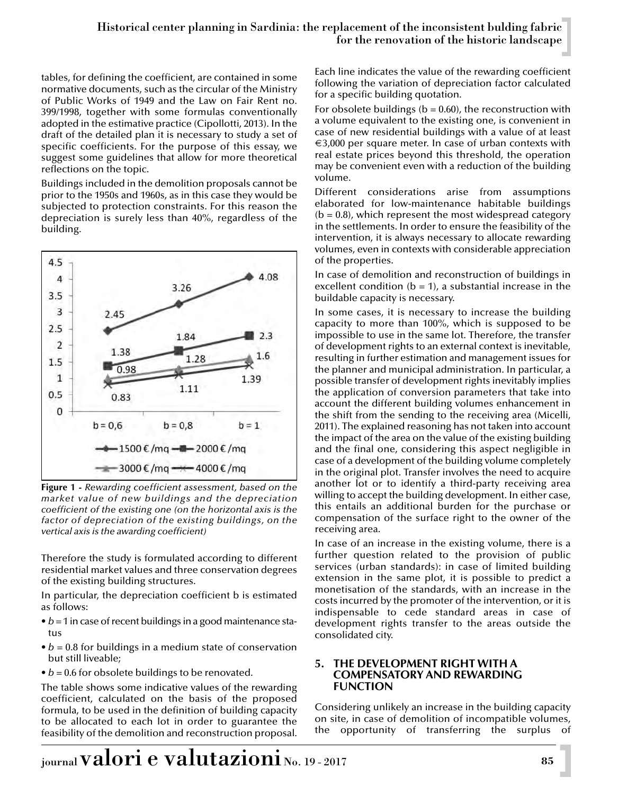tables, for defining the coefficient, are contained in some normative documents, such as the circular of the Ministry of Public Works of 1949 and the Law on Fair Rent no. 399/1998, together with some formulas conventionally adopted in the estimative practice (Cipollotti, 2013). In the draft of the detailed plan it is necessary to study a set of specific coefficients. For the purpose of this essay, we suggest some guidelines that allow for more theoretical reflections on the topic.

Buildings included in the demolition proposals cannot be prior to the 1950s and 1960s, as in this case they would be subjected to protection constraints. For this reason the depreciation is surely less than 40%, regardless of the building.



**Figure 1 -** *Rewarding coefficient assessment, based on the market value of new buildings and the depreciation coefficient of the existing one (on the horizontal axis is the factor of depreciation of the existing buildings, on the vertical axis is the awarding coefficient)*

Therefore the study is formulated according to different residential market values and three conservation degrees of the existing building structures.

In particular, the depreciation coefficient b is estimated as follows:

- *b* = 1 in case of recent buildings in a good maintenance status
- $\bullet$  *b* = 0.8 for buildings in a medium state of conservation but still liveable;
- *b* = 0.6 for obsolete buildings to be renovated.

The table shows some indicative values of the rewarding coefficient, calculated on the basis of the proposed formula, to be used in the definition of building capacity to be allocated to each lot in order to guarantee the feasibility of the demolition and reconstruction proposal.

Each line indicates the value of the rewarding coefficient following the variation of depreciation factor calculated for a specific building quotation.

For obsolete buildings ( $b = 0.60$ ), the reconstruction with a volume equivalent to the existing one, is convenient in case of new residential buildings with a value of at least  $\epsilon$ 3,000 per square meter. In case of urban contexts with real estate prices beyond this threshold, the operation may be convenient even with a reduction of the building volume.

Different considerations arise from assumptions elaborated for low-maintenance habitable buildings  $(b = 0.8)$ , which represent the most widespread category in the settlements. In order to ensure the feasibility of the intervention, it is always necessary to allocate rewarding volumes, even in contexts with considerable appreciation of the properties.

In case of demolition and reconstruction of buildings in excellent condition  $(b = 1)$ , a substantial increase in the buildable capacity is necessary.

In some cases, it is necessary to increase the building capacity to more than 100%, which is supposed to be impossible to use in the same lot. Therefore, the transfer of development rights to an external context is inevitable, resulting in further estimation and management issues for the planner and municipal administration. In particular, a possible transfer of development rights inevitably implies the application of conversion parameters that take into account the different building volumes enhancement in the shift from the sending to the receiving area (Micelli, 2011). The explained reasoning has not taken into account the impact of the area on the value of the existing building and the final one, considering this aspect negligible in case of a development of the building volume completely in the original plot. Transfer involves the need to acquire another lot or to identify a third-party receiving area willing to accept the building development. In either case, this entails an additional burden for the purchase or compensation of the surface right to the owner of the receiving area.

In case of an increase in the existing volume, there is a further question related to the provision of public services (urban standards): in case of limited building extension in the same plot, it is possible to predict a monetisation of the standards, with an increase in the costs incurred by the promoter of the intervention, or it is indispensable to cede standard areas in case of development rights transfer to the areas outside the consolidated city.

#### **5. THE DEVELOPMENT RIGHT WITH A COMPENSATORY AND REWARDING FUNCTION**

Considering unlikely an increase in the building capacity on site, in case of demolition of incompatible volumes, the opportunity of transferring the surplus of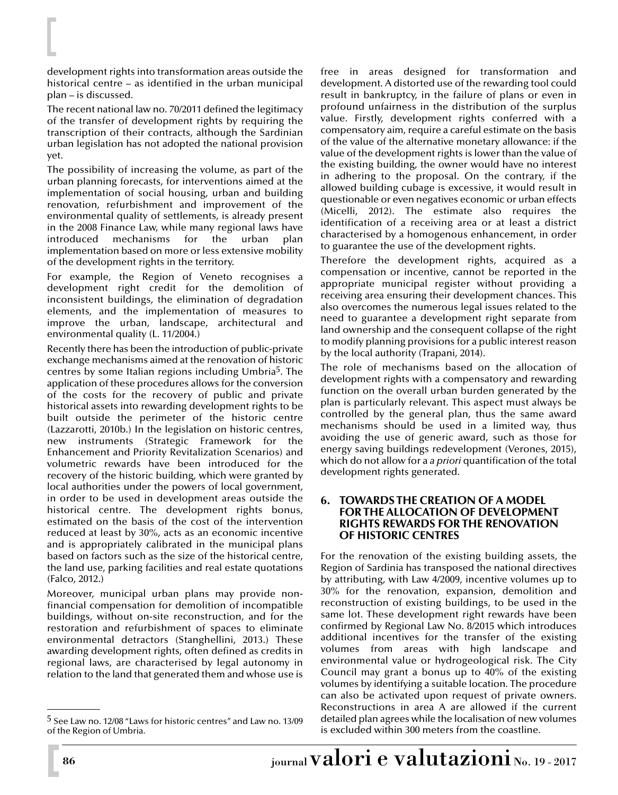development rights into transformation areas outside the historical centre – as identified in the urban municipal plan – is discussed.

The recent national law no. 70/2011 defined the legitimacy of the transfer of development rights by requiring the transcription of their contracts, although the Sardinian urban legislation has not adopted the national provision yet.

The possibility of increasing the volume, as part of the urban planning forecasts, for interventions aimed at the implementation of social housing, urban and building renovation, refurbishment and improvement of the environmental quality of settlements, is already present in the 2008 Finance Law, while many regional laws have introduced mechanisms for the urban plan implementation based on more or less extensive mobility of the development rights in the territory.

For example, the Region of Veneto recognises a development right credit for the demolition of inconsistent buildings, the elimination of degradation elements, and the implementation of measures to improve the urban, landscape, architectural and environmental quality (L. 11/2004.)

Recently there has been the introduction of public-private exchange mechanisms aimed at the renovation of historic centres by some Italian regions including Umbria5. The application of these procedures allows for the conversion of the costs for the recovery of public and private historical assets into rewarding development rights to be built outside the perimeter of the historic centre (Lazzarotti, 2010b.) In the legislation on historic centres, new instruments (Strategic Framework for the Enhancement and Priority Revitalization Scenarios) and volumetric rewards have been introduced for the recovery of the historic building, which were granted by local authorities under the powers of local government, in order to be used in development areas outside the historical centre. The development rights bonus, estimated on the basis of the cost of the intervention reduced at least by 30%, acts as an economic incentive and is appropriately calibrated in the municipal plans based on factors such as the size of the historical centre, the land use, parking facilities and real estate quotations (Falco, 2012.)

Moreover, municipal urban plans may provide nonfinancial compensation for demolition of incompatible buildings, without on-site reconstruction, and for the restoration and refurbishment of spaces to eliminate environmental detractors (Stanghellini, 2013.) These awarding development rights, often defined as credits in regional laws, are characterised by legal autonomy in relation to the land that generated them and whose use is

free in areas designed for transformation and development. A distorted use of the rewarding tool could result in bankruptcy, in the failure of plans or even in profound unfairness in the distribution of the surplus value. Firstly, development rights conferred with a compensatory aim, require a careful estimate on the basis of the value of the alternative monetary allowance: if the value of the development rights is lower than the value of the existing building, the owner would have no interest in adhering to the proposal. On the contrary, if the allowed building cubage is excessive, it would result in questionable or even negatives economic or urban effects (Micelli, 2012). The estimate also requires the identification of a receiving area or at least a district characterised by a homogenous enhancement, in order to guarantee the use of the development rights.

Therefore the development rights, acquired as a compensation or incentive, cannot be reported in the appropriate municipal register without providing a receiving area ensuring their development chances. This also overcomes the numerous legal issues related to the need to guarantee a development right separate from land ownership and the consequent collapse of the right to modify planning provisions for a public interest reason by the local authority (Trapani, 2014).

The role of mechanisms based on the allocation of development rights with a compensatory and rewarding function on the overall urban burden generated by the plan is particularly relevant. This aspect must always be controlled by the general plan, thus the same award mechanisms should be used in a limited way, thus avoiding the use of generic award, such as those for energy saving buildings redevelopment (Verones, 2015), which do not allow for a *a priori* quantification of the total development rights generated.

#### **6. TOWARDS THE CREATION OF A MODEL FOR THE ALLOCATION OF DEVELOPMENT RIGHTS REWARDS FOR THE RENOVATION OF HISTORIC CENTRES**

For the renovation of the existing building assets, the Region of Sardinia has transposed the national directives by attributing, with Law 4/2009, incentive volumes up to 30% for the renovation, expansion, demolition and reconstruction of existing buildings, to be used in the same lot. These development right rewards have been confirmed by Regional Law No. 8/2015 which introduces additional incentives for the transfer of the existing volumes from areas with high landscape and environmental value or hydrogeological risk. The City Council may grant a bonus up to 40% of the existing volumes by identifying a suitable location. The procedure can also be activated upon request of private owners. Reconstructions in area A are allowed if the current detailed plan agrees while the localisation of new volumes is excluded within 300 meters from the coastline.

<sup>5</sup> See Law no. 12/08 "Laws for historic centres" and Law no. 13/09 of the Region of Umbria.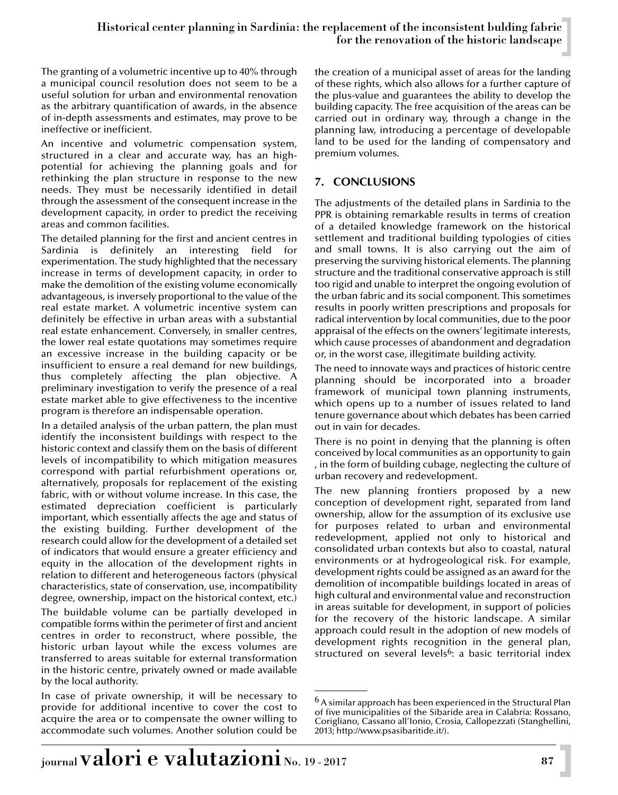The granting of a volumetric incentive up to 40% through a municipal council resolution does not seem to be a useful solution for urban and environmental renovation as the arbitrary quantification of awards, in the absence of in-depth assessments and estimates, may prove to be ineffective or inefficient.

An incentive and volumetric compensation system, structured in a clear and accurate way, has an highpotential for achieving the planning goals and for rethinking the plan structure in response to the new needs. They must be necessarily identified in detail through the assessment of the consequent increase in the development capacity, in order to predict the receiving areas and common facilities.

The detailed planning for the first and ancient centres in Sardinia is definitely an interesting field for experimentation. The study highlighted that the necessary increase in terms of development capacity, in order to make the demolition of the existing volume economically advantageous, is inversely proportional to the value of the real estate market. A volumetric incentive system can definitely be effective in urban areas with a substantial real estate enhancement. Conversely, in smaller centres, the lower real estate quotations may sometimes require an excessive increase in the building capacity or be insufficient to ensure a real demand for new buildings, thus completely affecting the plan objective. A preliminary investigation to verify the presence of a real estate market able to give effectiveness to the incentive program is therefore an indispensable operation.

In a detailed analysis of the urban pattern, the plan must identify the inconsistent buildings with respect to the historic context and classify them on the basis of different levels of incompatibility to which mitigation measures correspond with partial refurbishment operations or, alternatively, proposals for replacement of the existing fabric, with or without volume increase. In this case, the estimated depreciation coefficient is particularly important, which essentially affects the age and status of the existing building. Further development of the research could allow for the development of a detailed set of indicators that would ensure a greater efficiency and equity in the allocation of the development rights in relation to different and heterogeneous factors (physical characteristics, state of conservation, use, incompatibility degree, ownership, impact on the historical context, etc.)

The buildable volume can be partially developed in compatible forms within the perimeter of first and ancient centres in order to reconstruct, where possible, the historic urban layout while the excess volumes are transferred to areas suitable for external transformation in the historic centre, privately owned or made available by the local authority.

In case of private ownership, it will be necessary to provide for additional incentive to cover the cost to acquire the area or to compensate the owner willing to accommodate such volumes. Another solution could be the creation of a municipal asset of areas for the landing of these rights, which also allows for a further capture of the plus-value and guarantees the ability to develop the building capacity. The free acquisition of the areas can be carried out in ordinary way, through a change in the planning law, introducing a percentage of developable land to be used for the landing of compensatory and premium volumes.

## **7. CONCLUSIONS**

The adjustments of the detailed plans in Sardinia to the PPR is obtaining remarkable results in terms of creation of a detailed knowledge framework on the historical settlement and traditional building typologies of cities and small towns. It is also carrying out the aim of preserving the surviving historical elements. The planning structure and the traditional conservative approach is still too rigid and unable to interpret the ongoing evolution of the urban fabric and its social component. This sometimes results in poorly written prescriptions and proposals for radical intervention by local communities, due to the poor appraisal of the effects on the owners' legitimate interests, which cause processes of abandonment and degradation or, in the worst case, illegitimate building activity.

The need to innovate ways and practices of historic centre planning should be incorporated into a broader framework of municipal town planning instruments, which opens up to a number of issues related to land tenure governance about which debates has been carried out in vain for decades.

There is no point in denying that the planning is often conceived by local communities as an opportunity to gain , in the form of building cubage, neglecting the culture of urban recovery and redevelopment.

The new planning frontiers proposed by a new conception of development right, separated from land ownership, allow for the assumption of its exclusive use for purposes related to urban and environmental redevelopment, applied not only to historical and consolidated urban contexts but also to coastal, natural environments or at hydrogeological risk. For example, development rights could be assigned as an award for the demolition of incompatible buildings located in areas of high cultural and environmental value and reconstruction in areas suitable for development, in support of policies for the recovery of the historic landscape. A similar approach could result in the adoption of new models of development rights recognition in the general plan, structured on several levels<sup>6</sup>: a basic territorial index

<sup>&</sup>lt;sup>6</sup> A similar approach has been experienced in the Structural Plan of five municipalities of the Sibaride area in Calabria: Rossano, Corigliano, Cassano all'Ionio, Crosia, Callopezzati (Stanghellini, 2013; http://www.psasibaritide.it/).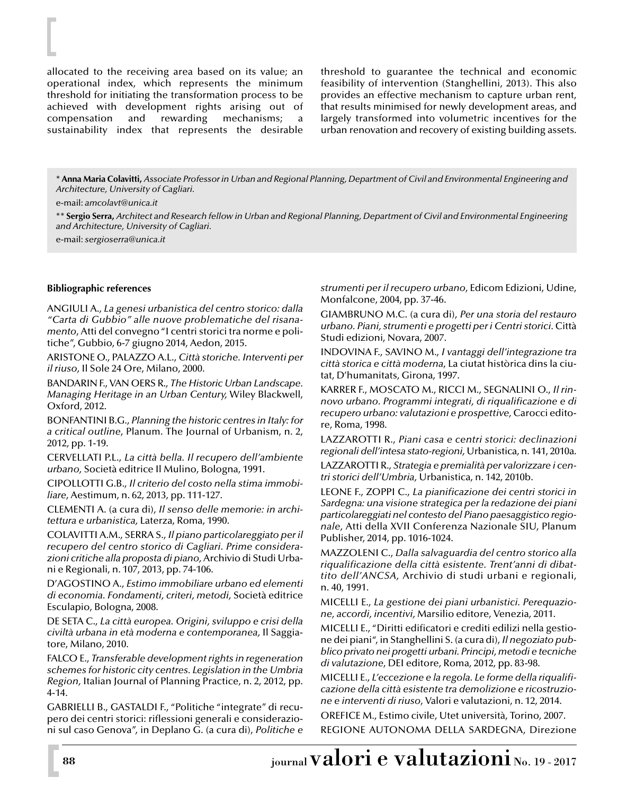allocated to the receiving area based on its value; an operational index, which represents the minimum threshold for initiating the transformation process to be achieved with development rights arising out of compensation and rewarding mechanisms; a sustainability index that represents the desirable

threshold to guarantee the technical and economic feasibility of intervention (Stanghellini, 2013). This also provides an effective mechanism to capture urban rent, that results minimised for newly development areas, and largely transformed into volumetric incentives for the urban renovation and recovery of existing building assets.

\***Anna Maria Colavitti,** *Associate Professor in Urban and Regional Planning, Department of Civil and Environmental Engineering and Architecture, University of Cagliari.*

e-mail: *amcolavt@unica.it*

\*\* **Sergio Serra,** *Architect and Research fellow in Urban and Regional Planning, Department of Civil and Environmental Engineering and Architecture, University of Cagliari.*

e-mail: *sergioserra@unica.it*

#### **Bibliographic references**

ANGIULI A., *La genesi urbanistica del centro storico: dalla "Carta di Gubbio" alle nuove problematiche del risanamento*, Atti del convegno "I centri storici tra norme e politiche", Gubbio, 6-7 giugno 2014, Aedon, 2015.

ARISTONE O., PALAZZO A.L., *Città storiche. Interventi per il riuso,* Il Sole 24 Ore, Milano, 2000.

BANDARIN F., VAN OERS R., *The Historic Urban Landscape. Managing Heritage in an Urban Century,* Wiley Blackwell, Oxford, 2012.

BONFANTINI B.G., *Planning the historic centres in Italy: for a critical outline*, Planum. The Journal of Urbanism, n. 2, 2012, pp. 1-19.

CERVELLATI P.L., *La città bella. Il recupero dell'ambiente urbano,* Società editrice Il Mulino, Bologna, 1991.

CIPOLLOTTI G.B., *Il criterio del costo nella stima immobiliare*, Aestimum, n. 62, 2013, pp. 111-127.

CLEMENTI A. (a cura di), *Il senso delle memorie: in architettura e urbanistica,* Laterza, Roma, 1990.

COLAVITTI A.M., SERRA S., *Il piano particolareggiato per il recupero del centro storico di Cagliari. Prime considerazioni critiche alla proposta di piano,* Archivio di Studi Urbani e Regionali, n. 107, 2013, pp. 74-106.

D'AGOSTINO A., *Estimo immobiliare urbano ed elementi di economia. Fondamenti, criteri, metodi,* Società editrice Esculapio, Bologna, 2008.

DE SETA C., *La città europea. Origini, sviluppo e crisi della civiltà urbana in età moderna e contemporanea,* Il Saggiatore, Milano, 2010.

FALCO E., *Transferable development rights in regeneration schemes for historic city centres. Legislation in the Umbria Region,* Italian Journal of Planning Practice, n. 2, 2012, pp. 4-14.

GABRIELLI B., GASTALDI F., "Politiche "integrate" di recupero dei centri storici: riflessioni generali e considerazioni sul caso Genova", in Deplano G. (a cura di), *Politiche e* *strumenti per il recupero urbano*, Edicom Edizioni, Udine, Monfalcone, 2004, pp. 37-46.

GIAMBRUNO M.C. (a cura di), *Per una storia del restauro urbano. Piani, strumenti e progetti per i Centri storici.* Città Studi edizioni, Novara, 2007.

INDOVINA F., SAVINO M., *I vantaggi dell'integrazione tra città storica e città moderna*, La ciutat històrica dins la ciutat, D'humanitats, Girona, 1997.

KARRER F., MOSCATO M., RICCI M., SEGNALINI O., *Il rinnovo urbano. Programmi integrati, di riqualificazione e di recupero urbano: valutazioni e prospettive,* Carocci editore, Roma, 1998.

LAZZAROTTI R., *Piani casa e centri storici: declinazioni regionali dell'intesa stato-regioni,* Urbanistica, n. 141, 2010a.

LAZZAROTTI R., *Strategia e premialità per valorizzare i centri storici dell'Umbria,* Urbanistica, n. 142, 2010b.

LEONE F., ZOPPI C., *La pianificazione dei centri storici in Sardegna: una visione strategica per la redazione dei piani particolareggiati nel contesto del Piano paesaggistico regionale,* Atti della XVII Conferenza Nazionale SIU, Planum Publisher, 2014, pp. 1016-1024.

MAZZOLENI C., *Dalla salvaguardia del centro storico alla riqualificazione della città esistente. Trent'anni di dibattito dell'ANCSA,* Archivio di studi urbani e regionali, n. 40, 1991.

MICELLI E., *La gestione dei piani urbanistici. Perequazione, accordi, incentivi,* Marsilio editore, Venezia, 2011.

MICELLI E., "Diritti edificatori e crediti edilizi nella gestione dei piani", in Stanghellini S. (a cura di), *Il negoziato pubblico privato nei progetti urbani. Principi, metodi e tecniche di valutazione*, DEI editore, Roma, 2012, pp. 83-98.

MICELLI E., *L'eccezione e la regola. Le forme della riqualificazione della città esistente tra demolizione e ricostruzione e interventi di riuso*, Valori e valutazioni, n. 12, 2014.

OREFICE M., Estimo civile, Utet università, Torino, 2007. REGIONE AUTONOMA DELLA SARDEGNA, Direzione